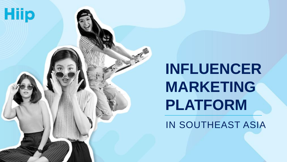

# **INFLUENCER MARKETING PLATFORM** IN SOUTHEAST ASIA

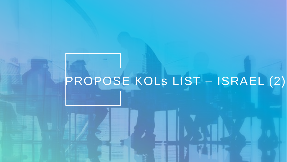# PROPOSE KOLS LIST - ISRAEL (2)

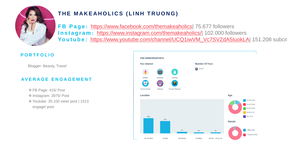

# THE MAKEAHOLICS (LINH TRUONG)

**FB Page: https://www.facebook.com/themakeaholics 75.677 followers Instagram: <https://www.instagram.com/themakeaholics/>| 102.000 followers** Youtube: [https://www.youtube.com/channel/UCQ1iwVM\\_Vc7SVZdA5IuokLA](https://www.youtube.com/channel/UCQ1iwVM_Vc7SVZdA5IuokLA)| 151.208 subcri

- **☆ FB Page: 415/ Post**
- ◆ Instagram: 3975/ Post
- **\*** Youtube: 35.100 view/ post | 1513 engage/ post



Blogger: Beauty, Travel

#### **P O R T F O L I O**

### **AV E R A G E E N G A G E M E N T**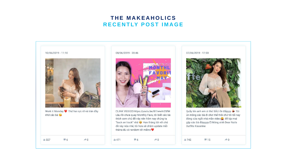## THE MAKEAHOLICS RECENTLY POST IMAGE





□LINK VIDEO□ https://youtu.be/Bl7wwAr2SfM Lâu rồi chưa quay Monthly Favs, tôi biết các bà thích xem chủ đề này nên hôm nay chúng ta "back on track" nhá <a>
Hẹn tháng tới với chủ đề này nữa nhé, tôi hứa sẽ chăm update mỗi

> $\rightarrow 0$  $-6$

07/06/2019 - 17:00



Quẫy lên anh em ơi thứ SÁU rồi đấyyyy <>>
Tôi ủn mông các bà đi chơi thế thôi chứ tôi tối nay đóng cửa ngồi nhà mần video k để kịp mai gặp các bà đâyyyyy □ Móng xinh Dear Nails Outfits Kisserine

 $1/742$ 

 $\P$  15

 $\rightarrow 0$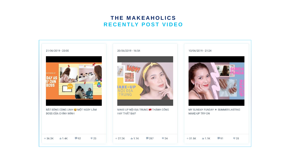### **T H E M A K E A H O L I C S R E C E N T LY P O S T V I D E O**

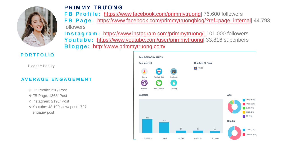

**P R I M M Y T R Ư Ơ N G FB Profile: <https://www.facebook.com/primmytruong> 76.600 followers FB Page: https://www.facebook.com/primmytruongblog/?ref=page\_internal** 44.793 followers **Instagram: [https://www.instagram.com/primmytruong/| 1](https://www.instagram.com/primmytruong/?hl=en)01.000 followers** Youtube: https://www.youtube.com/user/primmytruong 33.816 subcribers **B l o g g e :** <http://www.primmytruong.com/>

Blogger: Beauty

**P O R T F O L I O**

- FB Profile: 236/ Post
- FB Page: 1368/ Post
- ◆ Instagram: 2198/ Post
- **\*** Youtube: 48.100 view/ post | 727 engage/ post



#### **AV E R A G E E N G A G E M E N T**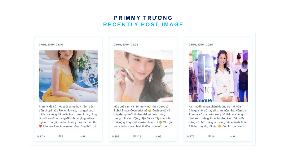# PRIMMY TRUONG RECENTLY POST IMAGE







Hộp quà xinh xắn Primmy mới nhận được từ Bobbi Brown Cosmetics nè @ Cushion có vỏ hộp design mới và thay thế vỏ được luôn, design rất sinh động, hiện đại và đầy màu sắc, mỗi ngày thay một vỏ nào chị em ơi và ngôi sao của box này chính là dòng son mới mà

 $-111$ 

 $\rightarrow 63$ 

05/06/2019 - 20:50



Ra mắt dòng sản phẩm dưỡng da mới của Clinique nè, bộ này siêu hot luôn nha. Hôm kia Primmy có post trên story đó, Primmy dùng chai kem dưỡng ẩm màu vàng kinh điển + lõi trắng có chức năng làm sáng đều màu da hơn 1 tháng nay rồi, tốt lắm về Còn lõi màu xanh

 $1 975$ 

 $-16$ 

 $\rightarrow 0$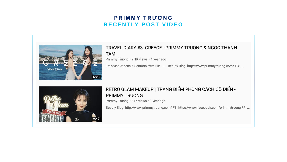# PRIMMY TRUONG RECENTLY POST VIDEO



# **TAM**

Primmy Truong · 9.1K views · 1 year ago

Let's visit Athens & Santorini with us! - Beauty Blog: http://www.primmytruong.com/FB: ...



# RETRO GLAM MAKEUP | TRANG ĐIỂM PHONG CÁCH CỔ ĐIỂN -**PRIMMY TRUONG** Primmy Truong · 34K views · 1 year ago

Beauty Blog: http://www.primmytruong.com/ FB: https://www.facebook.com/primmytruong FP: ...

#### TRAVEL DIARY #3: GREECE - PRIMMY TRUONG & NGOC THANH